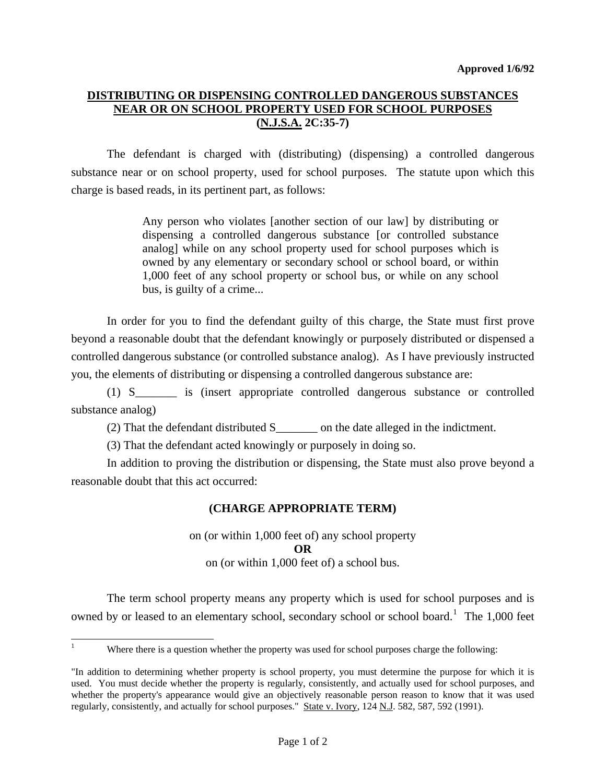## **DISTRIBUTING OR DISPENSING CONTROLLED DANGEROUS SUBSTANCES NEAR OR ON SCHOOL PROPERTY USED FOR SCHOOL PURPOSES (N.J.S.A. 2C:35-7)**

 The defendant is charged with (distributing) (dispensing) a controlled dangerous substance near or on school property, used for school purposes. The statute upon which this charge is based reads, in its pertinent part, as follows:

> Any person who violates [another section of our law] by distributing or dispensing a controlled dangerous substance [or controlled substance analog] while on any school property used for school purposes which is owned by any elementary or secondary school or school board, or within 1,000 feet of any school property or school bus, or while on any school bus, is guilty of a crime...

 In order for you to find the defendant guilty of this charge, the State must first prove beyond a reasonable doubt that the defendant knowingly or purposely distributed or dispensed a controlled dangerous substance (or controlled substance analog). As I have previously instructed you, the elements of distributing or dispensing a controlled dangerous substance are:

 (1) S\_\_\_\_\_\_\_ is (insert appropriate controlled dangerous substance or controlled substance analog)

(2) That the defendant distributed S\_\_\_\_\_\_\_ on the date alleged in the indictment.

(3) That the defendant acted knowingly or purposely in doing so.

 In addition to proving the distribution or dispensing, the State must also prove beyond a reasonable doubt that this act occurred:

## **(CHARGE APPROPRIATE TERM)**

on (or within 1,000 feet of) any school property **OR**  on (or within 1,000 feet of) a school bus.

The term school property means any property which is used for school purposes and is owned by or leased to an elementary school, secondary school or school board.<sup>[1](#page-0-0)</sup> The 1,000 feet

<span id="page-0-0"></span>l 1

Where there is a question whether the property was used for school purposes charge the following:

<span id="page-0-1"></span><sup>&</sup>quot;In addition to determining whether property is school property, you must determine the purpose for which it is used. You must decide whether the property is regularly, consistently, and actually used for school purposes, and whether the property's appearance would give an objectively reasonable person reason to know that it was used regularly, consistently, and actually for school purposes." State v. Ivory, 124 N.J. 582, 587, 592 (1991).